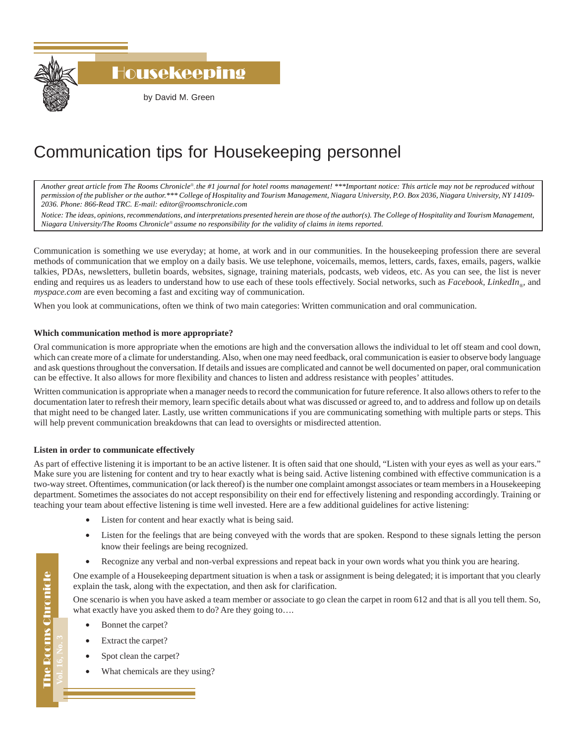

Housekeeping

by David M. Green

# Communication tips for Housekeeping personnel

*Another great article from The Rooms Chronicle*®*, the #1 journal for hotel rooms management! \*\*\*Important notice: This article may not be reproduced without permission of the publisher or the author.\*\*\* College of Hospitality and Tourism Management, Niagara University, P.O. Box 2036, Niagara University, NY 14109- 2036. Phone: 866-Read TRC. E-mail: editor@roomschronicle.com*

*Notice: The ideas, opinions, recommendations, and interpretations presented herein are those of the author(s). The College of Hospitality and Tourism Management, Niagara University/The Rooms Chronicle*® *assume no responsibility for the validity of claims in items reported.*

Communication is something we use everyday; at home, at work and in our communities. In the housekeeping profession there are several methods of communication that we employ on a daily basis. We use telephone, voicemails, memos, letters, cards, faxes, emails, pagers, walkie talkies, PDAs, newsletters, bulletin boards, websites, signage, training materials, podcasts, web videos, etc. As you can see, the list is never ending and requires us as leaders to understand how to use each of these tools effectively. Social networks, such as *Facebook*, *LinkedIn*<sub>®</sub>, and *myspace.com* are even becoming a fast and exciting way of communication.

When you look at communications, often we think of two main categories: Written communication and oral communication.

## **Which communication method is more appropriate?**

Oral communication is more appropriate when the emotions are high and the conversation allows the individual to let off steam and cool down, which can create more of a climate for understanding. Also, when one may need feedback, oral communication is easier to observe body language and ask questions throughout the conversation. If details and issues are complicated and cannot be well documented on paper, oral communication can be effective. It also allows for more flexibility and chances to listen and address resistance with peoples' attitudes.

Written communication is appropriate when a manager needs to record the communication for future reference. It also allows others to refer to the documentation later to refresh their memory, learn specific details about what was discussed or agreed to, and to address and follow up on details that might need to be changed later. Lastly, use written communications if you are communicating something with multiple parts or steps. This will help prevent communication breakdowns that can lead to oversights or misdirected attention.

## **Listen in order to communicate effectively**

As part of effective listening it is important to be an active listener. It is often said that one should, "Listen with your eyes as well as your ears." Make sure you are listening for content and try to hear exactly what is being said. Active listening combined with effective communication is a two-way street. Oftentimes, communication (or lack thereof) is the number one complaint amongst associates or team members in a Housekeeping department. Sometimes the associates do not accept responsibility on their end for effectively listening and responding accordingly. Training or teaching your team about effective listening is time well invested. Here are a few additional guidelines for active listening:

- Listen for content and hear exactly what is being said.
- Listen for the feelings that are being conveyed with the words that are spoken. Respond to these signals letting the person know their feelings are being recognized.
- Recognize any verbal and non-verbal expressions and repeat back in your own words what you think you are hearing.

One example of a Housekeeping department situation is when a task or assignment is being delegated; it is important that you clearly explain the task, along with the expectation, and then ask for clarification.

One scenario is when you have asked a team member or associate to go clean the carpet in room 612 and that is all you tell them. So, what exactly have you asked them to do? Are they going to....

- Bonnet the carpet?
- Extract the carpet?
- Spot clean the carpet?
- What chemicals are they using?

The Rooms Chronicle The Rooms Chronicle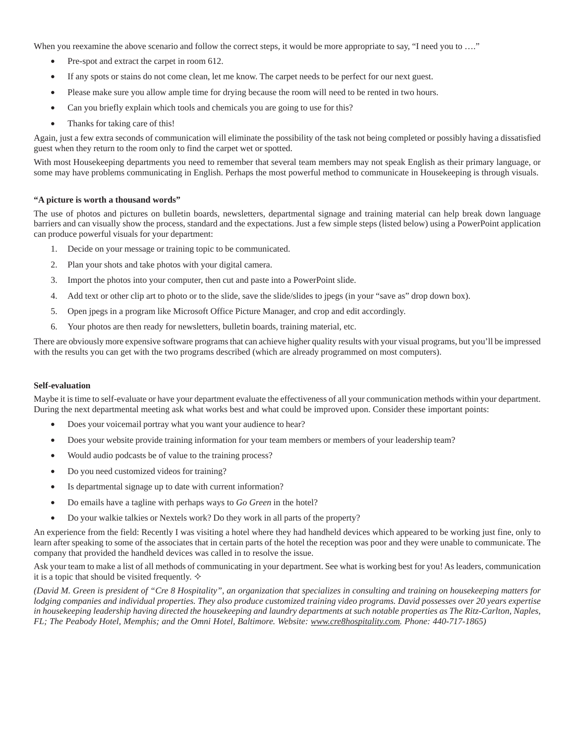When you reexamine the above scenario and follow the correct steps, it would be more appropriate to say, "I need you to ...."

- Pre-spot and extract the carpet in room 612.
- If any spots or stains do not come clean, let me know. The carpet needs to be perfect for our next guest.
- Please make sure you allow ample time for drying because the room will need to be rented in two hours.
- Can you briefly explain which tools and chemicals you are going to use for this?
- Thanks for taking care of this!

Again, just a few extra seconds of communication will eliminate the possibility of the task not being completed or possibly having a dissatisfied guest when they return to the room only to find the carpet wet or spotted.

With most Housekeeping departments you need to remember that several team members may not speak English as their primary language, or some may have problems communicating in English. Perhaps the most powerful method to communicate in Housekeeping is through visuals.

### **"A picture is worth a thousand words"**

The use of photos and pictures on bulletin boards, newsletters, departmental signage and training material can help break down language barriers and can visually show the process, standard and the expectations. Just a few simple steps (listed below) using a PowerPoint application can produce powerful visuals for your department:

- 1. Decide on your message or training topic to be communicated.
- 2. Plan your shots and take photos with your digital camera.
- 3. Import the photos into your computer, then cut and paste into a PowerPoint slide.
- 4. Add text or other clip art to photo or to the slide, save the slide/slides to jpegs (in your "save as" drop down box).
- 5. Open jpegs in a program like Microsoft Office Picture Manager, and crop and edit accordingly.
- 6. Your photos are then ready for newsletters, bulletin boards, training material, etc.

There are obviously more expensive software programs that can achieve higher quality results with your visual programs, but you'll be impressed with the results you can get with the two programs described (which are already programmed on most computers).

#### **Self-evaluation**

Maybe it is time to self-evaluate or have your department evaluate the effectiveness of all your communication methods within your department. During the next departmental meeting ask what works best and what could be improved upon. Consider these important points:

- Does your voicemail portray what you want your audience to hear?
- Does your website provide training information for your team members or members of your leadership team?
- Would audio podcasts be of value to the training process?
- Do you need customized videos for training?
- Is departmental signage up to date with current information?
- Do emails have a tagline with perhaps ways to *Go Green* in the hotel?
- Do your walkie talkies or Nextels work? Do they work in all parts of the property?

An experience from the field: Recently I was visiting a hotel where they had handheld devices which appeared to be working just fine, only to learn after speaking to some of the associates that in certain parts of the hotel the reception was poor and they were unable to communicate. The company that provided the handheld devices was called in to resolve the issue.

Ask your team to make a list of all methods of communicating in your department. See what is working best for you! As leaders, communication it is a topic that should be visited frequently.  $\diamond$ 

*(David M. Green is president of "Cre 8 Hospitality", an organization that specializes in consulting and training on housekeeping matters for lodging companies and individual properties. They also produce customized training video programs. David possesses over 20 years expertise in housekeeping leadership having directed the housekeeping and laundry departments at such notable properties as The Ritz-Carlton, Naples, FL; The Peabody Hotel, Memphis; and the Omni Hotel, Baltimore. Website: www.cre8hospitality.com. Phone: 440-717-1865)*